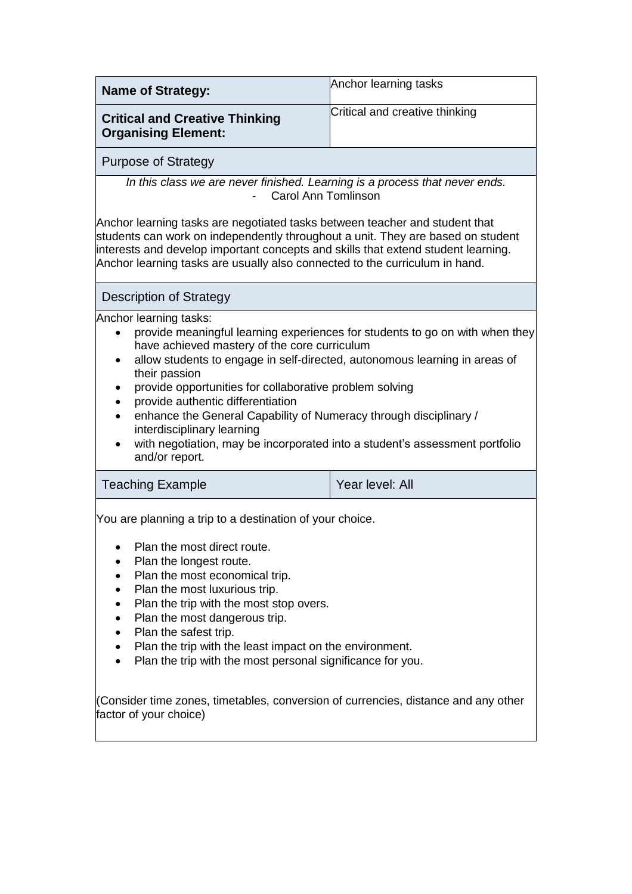| Name of Strategy:                                                   | Anchor learning tasks          |
|---------------------------------------------------------------------|--------------------------------|
| <b>Critical and Creative Thinking</b><br><b>Organising Element:</b> | Critical and creative thinking |
| Purpose of Strategy                                                 |                                |

*In this class we are never finished. Learning is a process that never ends. -* Carol Ann Tomlinson

Anchor learning tasks are negotiated tasks between teacher and student that students can work on independently throughout a unit. They are based on student interests and develop important concepts and skills that extend student learning. Anchor learning tasks are usually also connected to the curriculum in hand.

## Description of Strategy

Anchor learning tasks:

- provide meaningful learning experiences for students to go on with when they have achieved mastery of the core curriculum
- allow students to engage in self-directed, autonomous learning in areas of their passion
- provide opportunities for collaborative problem solving
- provide authentic differentiation
- enhance the General Capability of Numeracy through disciplinary / interdisciplinary learning
- with negotiation, may be incorporated into a student's assessment portfolio and/or report.

## Teaching Example **Teaching Example Year level:** All

• You are planning a trip to a destination of your choice.

- Plan the most direct route.
- Plan the longest route.
- Plan the most economical trip.
- Plan the most luxurious trip.
- Plan the trip with the most stop overs.
- Plan the most dangerous trip.
- Plan the safest trip.
- Plan the trip with the least impact on the environment.
- Plan the trip with the most personal significance for you.

(Consider time zones, timetables, conversion of currencies, distance and any other factor of your choice)